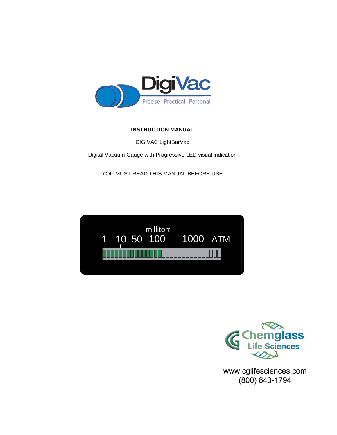

# **INSTRUCTION MANUAL**

DIGIVAC LightBarVac

Digital Vacuum Gauge with Progressive LED visual indication

YOU MUST READ THIS MANUAL BEFORE USE





www.cglifesciences.com (800) 843-1794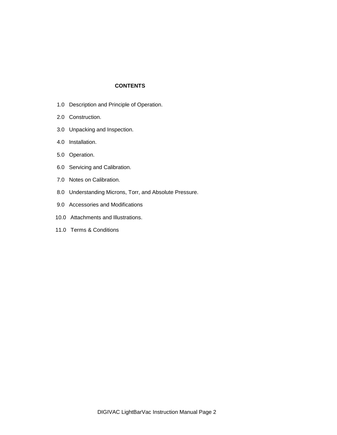### **CONTENTS**

- 1.0 Description and Principle of Operation.
- 2.0 Construction.
- 3.0 Unpacking and Inspection.
- 4.0 Installation.
- 5.0 Operation.
- 6.0 Servicing and Calibration.
- 7.0 Notes on Calibration.
- 8.0 Understanding Microns, Torr, and Absolute Pressure.
- 9.0 Accessories and Modifications
- 10.0 Attachments and Illustrations.
- 11.0 Terms & Conditions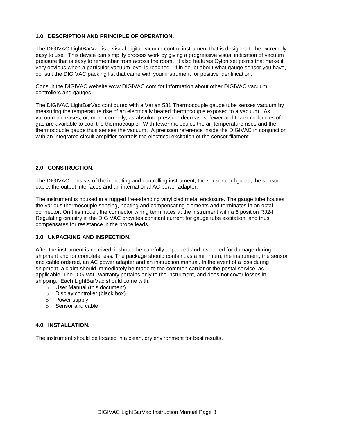## **1.0 DESCRIPTION AND PRINCIPLE OF OPERATION.**

The DIGIVAC LightBarVac is a visual digital vacuum control instrument that is designed to be extremely easy to use. This device can simplify process work by giving a progressive visual indication of vacuum pressure that is easy to remember from across the room. It also features Cylon set points that make it very obvious when a particular vacuum level is reached. If in doubt about what gauge sensor you have, consult the DIGIVAC packing list that came with your instrument for positive identification.

Consult the DIGIVAC website www.DIGIVAC.com for information about other DIGIVAC vacuum controllers and gauges.

The DIGIVAC LightBarVac configured with a Varian 531 Thermocouple gauge tube senses vacuum by measuring the temperature rise of an electrically heated thermocouple exposed to a vacuum. As vacuum increases, or, more correctly, as absolute pressure decreases, fewer and fewer molecules of gas are available to cool the thermocouple. With fewer molecules the air temperature rises and the thermocouple gauge thus senses the vacuum. A precision reference inside the DIGIVAC in conjunction with an integrated circuit amplifier controls the electrical excitation of the sensor filament

#### **2.0 CONSTRUCTION.**

The DIGIVAC consists of the indicating and controlling instrument, the sensor configured, the sensor cable, the output interfaces and an international AC power adapter.

The instrument is housed in a rugged free-standing vinyl clad metal enclosure. The gauge tube houses the various thermocouple sensing, heating and compensating elements and terminates in an octal connector. On this model, the connector wiring terminates at the instrument with a 6 position RJ24. Regulating circuitry in the DIGIVAC provides constant current for gauge tube excitation, and thus compensates for resistance in the probe leads.

#### **3.0 UNPACKING AND INSPECTION.**

After the instrument is received, it should be carefully unpacked and inspected for damage during shipment and for completeness. The package should contain, as a minimum, the instrument, the sensor and cable ordered, an AC power adapter and an instruction manual. In the event of a loss during shipment, a claim should immediately be made to the common carrier or the postal service, as applicable. The DIGIVAC warranty pertains only to the instrument, and does not cover losses in shipping. Each LightBarVac should come with:

- o User Manual (this document)
- o Display controller (black box)
- o Power supply
- o Sensor and cable

#### **4.0 INSTALLATION.**

The instrument should be located in a clean, dry environment for best results.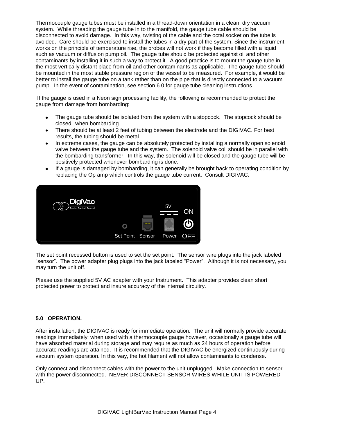Thermocouple gauge tubes must be installed in a thread-down orientation in a clean, dry vacuum system. While threading the gauge tube in to the manifold, the gauge tube cable should be disconnected to avoid damage. In this way, twisting of the cable and the octal socket on the tube is avoided. Care should be exercised to install the tubes in a dry part of the system. Since the instrument works on the principle of temperature rise, the probes will not work if they become filled with a liquid such as vacuum or diffusion pump oil. The gauge tube should be protected against oil and other contaminants by installing it in such a way to protect it. A good practice is to mount the gauge tube in the most vertically distant place from oil and other contaminants as applicable. The gauge tube should be mounted in the most stable pressure region of the vessel to be measured. For example, it would be better to install the gauge tube on a tank rather than on the pipe that is directly connected to a vacuum pump. In the event of contamination, see section 6.0 for gauge tube cleaning instructions.

 If the gauge is used in a Neon sign processing facility, the following is recommended to protect the gauge from damage from bombarding:

- The gauge tube should be isolated from the system with a stopcock. The stopcock should be closed when bombarding.
- There should be at least 2 feet of tubing between the electrode and the DIGIVAC. For best results, the tubing should be metal.
- In extreme cases, the gauge can be absolutely protected by installing a normally open solenoid valve between the gauge tube and the system. The solenoid valve coil should be in parallel with the bombarding transformer. In this way, the solenoid will be closed and the gauge tube will be positively protected whenever bombarding is done.
- If a gauge is damaged by bombarding, it can generally be brought back to operating condition by replacing the Op amp which controls the gauge tube current. Consult DIGIVAC.



The set point recessed button is used to set the set point. The sensor wire plugs into the jack labeled "sensor". The power adapter plug plugs into the jack labeled "Power". Although it is not necessary, you may turn the unit off.

Please use the supplied 5V AC adapter with your Instrument. This adapter provides clean short protected power to protect and insure accuracy of the internal circuitry.

#### **5.0 OPERATION.**

After installation, the DIGIVAC is ready for immediate operation. The unit will normally provide accurate readings immediately; when used with a thermocouple gauge however, occasionally a gauge tube will have absorbed material during storage and may require as much as 24 hours of operation before accurate readings are attained. It is recommended that the DIGIVAC be energized continuously during vacuum system operation. In this way, the hot filament will not allow contaminants to condense.

Only connect and disconnect cables with the power to the unit unplugged. Make connection to sensor with the power disconnected. NEVER DISCONNECT SENSOR WIRES WHILE UNIT IS POWERED UP.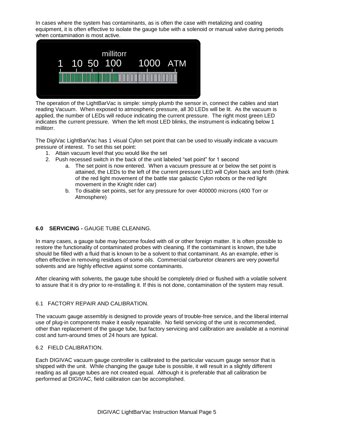In cases where the system has contaminants, as is often the case with metalizing and coating equipment, it is often effective to isolate the gauge tube with a solenoid or manual valve during periods when contamination is most active.



The operation of the LightBarVac is simple: simply plumb the sensor in, connect the cables and start reading Vacuum. When exposed to atmospheric pressure, all 30 LEDs will be lit. As the vacuum is applied, the number of LEDs will reduce indicating the current pressure. The right most green LED indicates the current pressure. When the left most LED blinks, the instrument is indicating below 1 millitorr.

The DigiVac LightBarVac has 1 visual Cylon set point that can be used to visually indicate a vacuum pressure of interest. To set this set point:

- 1. Attain vacuum level that you would like the set
- 2. Push recessed switch in the back of the unit labeled "set point" for 1 second
	- a. The set point is now entered. When a vacuum pressure at or below the set point is attained, the LEDs to the left of the current pressure LED will Cylon back and forth (think of the red light movement of the battle star galactic Cylon robots or the red light movement in the Knight rider car)
	- b. To disable set points, set for any pressure for over 400000 microns (400 Torr or Atmosphere)

## **6.0 SERVICING -** GAUGE TUBE CLEANING.

In many cases, a gauge tube may become fouled with oil or other foreign matter. It is often possible to restore the functionality of contaminated probes with cleaning. If the contaminant is known, the tube should be filled with a fluid that is known to be a solvent to that contaminant. As an example, ether is often effective in removing residues of some oils. Commercial carburetor cleaners are very powerful solvents and are highly effective against some contaminants.

After cleaning with solvents, the gauge tube should be completely dried or flushed with a volatile solvent to assure that it is dry prior to re-installing it. If this is not done, contamination of the system may result.

## 6.1 FACTORY REPAIR AND CALIBRATION.

The vacuum gauge assembly is designed to provide years of trouble-free service, and the liberal internal use of plug-in components make it easily repairable. No field servicing of the unit is recommended, other than replacement of the gauge tube, but factory servicing and calibration are available at a nominal cost and turn-around times of 24 hours are typical.

### 6.2 FIELD CALIBRATION.

Each DIGIVAC vacuum gauge controller is calibrated to the particular vacuum gauge sensor that is shipped with the unit. While changing the gauge tube is possible, it will result in a slightly different reading as all gauge tubes are not created equal. Although it is preferable that all calibration be performed at DIGIVAC, field calibration can be accomplished.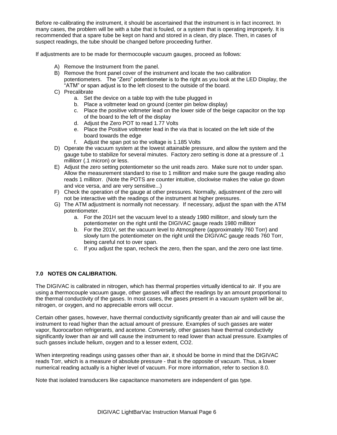Before re-calibrating the instrument, it should be ascertained that the instrument is in fact incorrect. In many cases, the problem will be with a tube that is fouled, or a system that is operating improperly. It is recommended that a spare tube be kept on hand and stored in a clean, dry place. Then, in cases of suspect readings, the tube should be changed before proceeding further.

If adjustments are to be made for thermocouple vacuum gauges, proceed as follows:

- A) Remove the Instrument from the panel.
- B) Remove the front panel cover of the instrument and locate the two calibration potentiometers. The "Zero" potentiometer is to the right as you look at the LED Display, the "ATM" or span adjust is to the left closest to the outside of the board.
- C) Precalibrate
	- a. Set the device on a table top with the tube plugged in
	- b. Place a voltmeter lead on ground (center pin below display)
	- c. Place the positive voltmeter lead on the lower side of the beige capacitor on the top of the board to the left of the display
	- d. Adjust the Zero POT to read 1.77 Volts
	- e. Place the Positive voltmeter lead in the via that is located on the left side of the board towards the edge
	- f. Adjust the span pot so the voltage is 1.185 Volts
- D) Operate the vacuum system at the lowest attainable pressure, and allow the system and the gauge tube to stabilize for several minutes. Factory zero setting is done at a pressure of .1 millitorr (.1 micron) or less.
- E) Adjust the zero setting potentiometer so the unit reads zero. Make sure not to under span. Allow the measurement standard to rise to 1 millitorr and make sure the gauge reading also reads 1 millitorr. (Note the POTS are counter intuitive, clockwise makes the value go down and vice versa, and are very sensitive...)
- F) Check the operation of the gauge at other pressures. Normally, adjustment of the zero will not be interactive with the readings of the instrument at higher pressures.
- G) The ATM adjustment is normally not necessary. If necessary, adjust the span with the ATM potentiometer.
	- a. For the 201H set the vacuum level to a steady 1980 millitorr, and slowly turn the potentiometer on the right until the DIGIVAC gauge reads 1980 millitorr
	- b. For the 201V, set the vacuum level to Atmosphere (approximately 760 Torr) and slowly turn the potentiometer on the right until the DIGIVAC gauge reads 760 Torr, being careful not to over span.
	- c. If you adjust the span, recheck the zero, then the span, and the zero one last time.

## **7.0 NOTES ON CALIBRATION.**

The DIGIVAC is calibrated in nitrogen, which has thermal properties virtually identical to air. If you are using a thermocouple vacuum gauge, other gasses will affect the readings by an amount proportional to the thermal conductivity of the gases. In most cases, the gases present in a vacuum system will be air, nitrogen, or oxygen, and no appreciable errors will occur.

Certain other gases, however, have thermal conductivity significantly greater than air and will cause the instrument to read higher than the actual amount of pressure. Examples of such gasses are water vapor, fluorocarbon refrigerants, and acetone. Conversely, other gasses have thermal conductivity significantly lower than air and will cause the instrument to read lower than actual pressure. Examples of such gasses include helium, oxygen and to a lesser extent, CO2.

When interpreting readings using gasses other than air, it should be borne in mind that the DIGIVAC reads Torr, which is a measure of absolute pressure - that is the opposite of vacuum. Thus, a lower numerical reading actually is a higher level of vacuum. For more information, refer to section 8.0.

Note that isolated transducers like capacitance manometers are independent of gas type.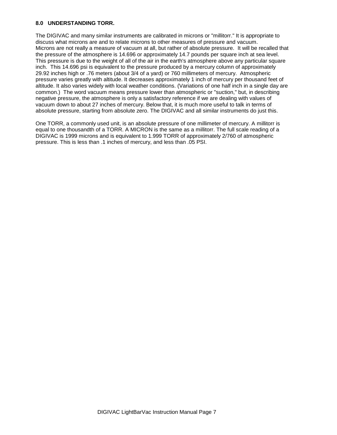### **8.0 UNDERSTANDING TORR.**

The DIGIVAC and many similar instruments are calibrated in microns or "millitorr." It is appropriate to discuss what microns are and to relate microns to other measures of pressure and vacuum. Microns are not really a measure of vacuum at all, but rather of absolute pressure. It will be recalled that the pressure of the atmosphere is 14.696 or approximately 14.7 pounds per square inch at sea level. This pressure is due to the weight of all of the air in the earth's atmosphere above any particular square inch. This 14.696 psi is equivalent to the pressure produced by a mercury column of approximately 29.92 inches high or .76 meters (about 3/4 of a yard) or 760 millimeters of mercury. Atmospheric pressure varies greatly with altitude. It decreases approximately 1 inch of mercury per thousand feet of altitude. It also varies widely with local weather conditions. (Variations of one half inch in a single day are common.) The word vacuum means pressure lower than atmospheric or "suction," but, in describing negative pressure, the atmosphere is only a satisfactory reference if we are dealing with values of vacuum down to about 27 inches of mercury. Below that, it is much more useful to talk in terms of absolute pressure, starting from absolute zero. The DIGIVAC and all similar instruments do just this.

One TORR, a commonly used unit, is an absolute pressure of one millimeter of mercury. A millitorr is equal to one thousandth of a TORR. A MICRON is the same as a millitorr. The full scale reading of a DIGIVAC is 1999 microns and is equivalent to 1.999 TORR of approximately 2/760 of atmospheric pressure. This is less than .1 inches of mercury, and less than .05 PSI.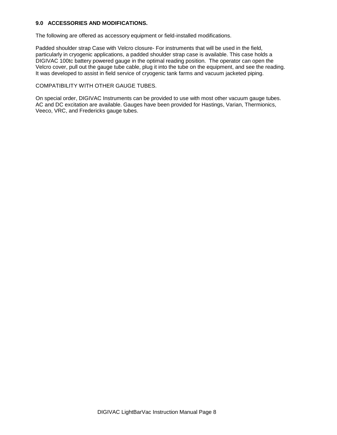#### **9.0 ACCESSORIES AND MODIFICATIONS.**

The following are offered as accessory equipment or field-installed modifications.

Padded shoulder strap Case with Velcro closure- For instruments that will be used in the field, particularly in cryogenic applications, a padded shoulder strap case is available. This case holds a DIGIVAC 100tc battery powered gauge in the optimal reading position. The operator can open the Velcro cover, pull out the gauge tube cable, plug it into the tube on the equipment, and see the reading. It was developed to assist in field service of cryogenic tank farms and vacuum jacketed piping.

### COMPATIBILITY WITH OTHER GAUGE TUBES.

On special order, DIGIVAC Instruments can be provided to use with most other vacuum gauge tubes. AC and DC excitation are available. Gauges have been provided for Hastings, Varian, Thermionics, Veeco, VRC, and Fredericks gauge tubes.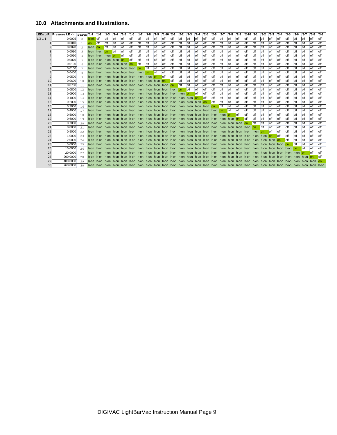### **10.0 Attachments and Illustrations.**

|                 | 10.0 Attachments and Illustrations.  |         |                |       |                     |            |            |                                       |              |              |              |              |                  |            |            |             |              |              |              |            |            |              |                 |              |              |              |              |              |            |            |              |            |
|-----------------|--------------------------------------|---------|----------------|-------|---------------------|------------|------------|---------------------------------------|--------------|--------------|--------------|--------------|------------------|------------|------------|-------------|--------------|--------------|--------------|------------|------------|--------------|-----------------|--------------|--------------|--------------|--------------|--------------|------------|------------|--------------|------------|
|                 |                                      |         |                |       |                     |            |            |                                       |              |              |              |              |                  |            |            |             |              |              |              |            |            |              |                 |              |              |              |              |              |            |            |              |            |
| <b>LEDs L-R</b> | <b>Pressure LE</b> $\leq$ state '1-1 |         |                |       | $1 - 2$ $1 - 3$     |            | $'1 - 4$   | $1 - 5$                               | $1 - 6$      | $1 - 7$      | $'1-8$       | $1 - 9$      | $1 - 10$ $2 - 1$ |            | '2-2       | $2-3$       | $'2-4$       | $'2-5$       | $'2-6$       | '2-7       | '2-8       | $'2-9$       | $'2 - 10'3 - 1$ |              | $3-2$        | '3-3         | $'3-4$       | '3-5         | '3-6       | $3 - 7$    | $3-8$        | $3-9$      |
| $'1/2$ 1-1      |                                      | 0.0005  | $\Omega$       | blink | <b>off</b>          | <b>off</b> | off        | off                                   | off          | <b>off</b>   | <b>off</b>   | <b>off</b>   | off              | off        | off        | off         | loff         | loff         | loff         | off        | off        | off          | off             | loff         | off          | off          | loff         | off          | off        | loff       | loff         | off        |
|                 |                                      | 0.0010  |                | on.   | <b>off</b>          | loff       | <b>off</b> | <b>off</b>                            | <b>off</b>   | l off        | loff         | <b>off</b>   | loff             | <b>off</b> | <b>off</b> | l off       | <b>off</b>   | <b>off</b>   | l off        | <b>off</b> | <b>off</b> | <b>off</b>   | <b>off</b>      | l off        | <b>off</b>   | l off        | l off        | <b>off</b>   | l off      | loff       | <b>off</b>   | l off      |
|                 |                                      | 0.0020  | $\overline{2}$ | h-on  | <b>on</b>           | <b>off</b> | loff       | off                                   | <b>off</b>   | <b>off</b>   | <b>off</b>   | <b>off</b>   | off              | <b>off</b> | <b>off</b> | off         | <b>off</b>   | loff         | <b>off</b>   | <b>off</b> | <b>off</b> | <b>off</b>   | <b>off</b>      | <b>off</b>   | off          | off          | <b>off</b>   | <b>off</b>   | loff       | <b>off</b> | <b>off</b>   | <b>off</b> |
|                 |                                      | 0.0030  | 3              |       | h-on h-on on        |            | <b>off</b> | <b>off</b>                            | l off        | <b>off</b>   | loff         | <b>off</b>   | loff             | <b>off</b> | <b>off</b> | off         | <b>off</b>   | loff         | <b>off</b>   | <b>off</b> | <b>off</b> | <b>off</b>   | <b>off</b>      | <b>off</b>   | <b>off</b>   | <b>off</b>   | <b>off</b>   | <b>off</b>   | loff       | loff       | loff         | <b>off</b> |
|                 |                                      | 0.0050  | $\overline{4}$ |       | h-on h-on h-on on   |            |            | <b>I</b> off                          | off          | <b>off</b>   | loff         | <b>off</b>   | loff             | off        | <b>off</b> | off         | <b>off</b>   | loff         | <b>off</b>   | off        | off        | <b>off</b>   | <b>off</b>      | <b>off</b>   | off          | <b>off</b>   | <b>off</b>   | <b>off</b>   | <b>off</b> | <b>off</b> | <b>off</b>   | <b>off</b> |
|                 |                                      | 0.0070  | 5              |       | h-on h-on h-on h-on |            |            | lon                                   | <b>I</b> off | loff         | loff         | <b>off</b>   | <b>off</b>       | <b>off</b> | loff       | <b>off</b>  | <b>off</b>   | loff         | <b>off</b>   | off        | <b>off</b> | <b>off</b>   | <b>off</b>      | <b>off</b>   | <b>off</b>   | <b>off</b>   | <b>off</b>   | <b>off</b>   | loff       | <b>off</b> | <b>off</b>   | <b>off</b> |
|                 |                                      | 0.0100  | 6              |       |                     |            |            | h-on h-on h-on h-on h-on on           |              | <b>l</b> off | <b>off</b>   | <b>off</b>   | loff             | <b>off</b> | loff       | l off       | <b>off</b>   | <b>l</b> off | <b>off</b>   | <b>off</b> | <b>off</b> | loff         | <b>off</b>      | ∣off         | <b>off</b>   | l off        | l off        | <b>off</b>   | <b>off</b> | <b>off</b> | <b>off</b>   | <b>off</b> |
|                 |                                      | 0.0100  | 7              |       |                     |            |            | h-on h-on h-on h-on h-on h-on on      |              |              | <b>l</b> off | <b>off</b>   | off              | <b>off</b> | <b>off</b> | <b>off</b>  | <b>off</b>   | loff         | <b>off</b>   | <b>off</b> | <b>off</b> | <b>off</b>   | <b>off</b>      | <b>off</b>   | <b>off</b>   | off          | <b>off</b>   | <b>off</b>   | <b>off</b> | loff       | <b>off</b>   | l off      |
| 8               |                                      | 0.0400  | 8              |       |                     |            |            | h-on h-on h-on h-on h-on h-on h-on on |              |              |              | <b>l</b> off | <b>off</b>       | <b>off</b> | loff       | off         | <b>off</b>   | loff         | <b>off</b>   | <b>off</b> | <b>off</b> | <b>off</b>   | <b>off</b>      | <b>off</b>   | off          | off          | <b>off</b>   | <b>off</b>   | loff       | <b>off</b> | <b>off</b>   | <b>off</b> |
| g               |                                      | 0.0500  | 9              |       |                     |            |            |                                       |              |              |              |              | <b>off</b>       | <b>off</b> | <b>off</b> | l off       | <b>off</b>   | <b>l</b> off | <b>off</b>   | <b>off</b> | <b>off</b> | <b>off</b>   | <b>off</b>      | <b>off</b>   | l off        | l off        | l off        | <b>off</b>   | <b>off</b> | <b>off</b> | <b>off</b>   | ∣ off      |
| 10              |                                      | 0.0600  | 10             |       |                     |            |            |                                       |              |              |              |              |                  | <b>off</b> | <b>off</b> | l off       | <b>off</b>   | <b>off</b>   | <b>off</b>   | <b>off</b> | <b>off</b> | loff         | loff            | <b>off</b>   | off          | <b>off</b>   | loff         | <b>off</b>   | loff       | loff       | l off        | <b>off</b> |
| 11              |                                      | 0.0700  | 11             |       |                     |            |            |                                       |              |              |              |              |                  | <b>on</b>  | <b>off</b> | l off       | <b>off</b>   | <b>l</b> off | <b>off</b>   | <b>off</b> | l off      | loff         | <b>off</b>      | ∣off         | <b>off</b>   | <b>off</b>   | loff         | <b>off</b>   | <b>off</b> | <b>off</b> | l off        | <b>off</b> |
| 12              |                                      | 0.0800  | 12             |       |                     |            |            |                                       |              |              |              |              |                  |            |            | <b></b> off | loff         | loff         | <b>off</b>   | <b>off</b> | <b>off</b> | <b>off</b>   | <b>off</b>      | <b>off</b>   | <b>off</b>   | <b>off</b>   | loff         | <b>off</b>   | loff       | loff       | <b>off</b>   | loff       |
| 13              |                                      | 0.0900  | 13             |       |                     |            |            |                                       |              |              |              |              |                  |            |            |             | <b>I</b> off | loff         | off          | off        | off        | off          | <b>off</b>      | <b>off</b>   | off          | off          | <b>off</b>   | <b>off</b>   | <b>off</b> | <b>off</b> | <b>off</b>   | <b>off</b> |
| 14              |                                      | 0.1000  | 14             |       |                     |            |            |                                       |              |              |              |              |                  |            |            |             |              | <b>I</b> off | <b>off</b>   | <b>off</b> | <b>off</b> | <b>off</b>   | <b>off</b>      | <b>off</b>   | off          | off          | <b>off</b>   | <b>off</b>   | <b>off</b> | <b>off</b> | <b>off</b>   | <b>off</b> |
| 15              |                                      | 0.2000  | 1.5            |       |                     |            |            |                                       |              |              |              |              |                  |            |            |             |              |              | <b>I</b> off | off        | <b>off</b> | off          | off             | off          | <b>off</b>   | <b>off</b>   | <b>off</b>   | <b>off</b>   | <b>off</b> | <b>off</b> | <b>off</b>   | off        |
| 16              |                                      | 0.3000  | 16             |       |                     |            |            |                                       |              |              |              |              |                  |            |            |             |              |              |              | <b>off</b> | <b>off</b> | off          | <b>off</b>      | <b>off</b>   | <b>off</b>   | <b>off</b>   | <b>off</b>   | <b>off</b>   | loff       | <b>off</b> | <b>off</b>   | <b>off</b> |
| 17              |                                      | 0.4000  | 17             |       |                     |            |            |                                       |              |              |              |              |                  |            |            |             |              |              |              |            | <b>off</b> | <b>off</b>   | <b>off</b>      | <b>off</b>   | <b>off</b>   | <b>off</b>   | <b>off</b>   | <b>off</b>   | loff       | <b>off</b> | loff         | <b>off</b> |
| 18              |                                      | 0.5000  | 18             |       |                     |            |            |                                       |              |              |              |              |                  |            |            |             |              |              |              |            |            | <b>I</b> off | loff            | <b>off</b>   | <b>off</b>   | <b>off</b>   | loff         | <b>off</b>   | loff       | loff       | loff         | l off      |
| 19              |                                      | 0.6000  | 19             |       |                     |            |            |                                       |              |              |              |              |                  |            |            |             |              |              |              |            |            | l on         | <b>off</b>      | <b>off</b>   | <b>off</b>   | <b>off</b>   | <b>off</b>   | <b>off</b>   | loff       | loff       | <b>off</b>   | off        |
| 20              |                                      | 0.7000  | 20             |       |                     |            |            |                                       |              |              |              |              |                  |            |            |             |              |              |              |            |            |              |                 | <b>l</b> off | <b>off</b>   | <b>off</b>   | off          | <b>off</b>   | loff       | <b>off</b> | off          | off        |
| 21              |                                      | 0.8000  | 21             |       |                     |            |            |                                       |              |              |              |              |                  |            |            |             |              |              |              |            |            |              |                 |              | <b>I</b> off | off          | <b>off</b>   | <b>off</b>   | <b>off</b> | <b>off</b> | <b>off</b>   | <b>off</b> |
| 22              |                                      | 0.9000  | 22             |       |                     |            |            |                                       |              |              |              |              |                  |            |            |             |              |              |              |            |            |              |                 |              |              | <b>l</b> off | <b>off</b>   | <b>off</b>   | <b>off</b> | <b>off</b> | <b>off</b>   | off        |
| 23              |                                      | 1.0000  | 23             |       |                     |            |            |                                       |              |              |              |              |                  |            |            |             |              |              |              |            |            |              |                 |              |              |              | <b>l</b> off | <b>off</b>   | <b>off</b> | <b>off</b> | <b>off</b>   | <b>off</b> |
| 24              |                                      | 2.0000  | 24             |       |                     |            |            |                                       |              |              |              |              |                  |            |            |             |              |              |              |            |            |              |                 |              |              |              |              | <b></b> Ioff | ∣off       | <b>off</b> | <b>off</b>   | l off      |
| 25              |                                      | 5.0000  | 25             |       |                     |            |            |                                       |              |              |              |              |                  |            |            |             |              |              |              |            |            |              |                 |              |              |              |              |              | ∎off       | <b>off</b> | <b>off</b>   | <b>off</b> |
| 26              |                                      | 10.0000 | 26             |       |                     |            |            |                                       |              |              |              |              |                  |            |            |             |              |              |              |            |            |              |                 |              |              |              |              |              |            | <b>off</b> | off          | <b>off</b> |
| 27              |                                      | 20,0000 | 27             |       |                     |            |            |                                       |              |              |              |              |                  |            |            |             |              |              |              |            |            |              |                 |              |              |              |              |              |            |            | <b>l</b> off | <b>off</b> |
| 28              | 200.0000                             |         | 28             |       |                     |            |            |                                       |              |              |              |              |                  |            |            |             |              |              |              |            |            |              |                 |              |              |              |              |              |            |            |              | <b>off</b> |
| 29              | 400.0000                             |         | 29             |       |                     |            |            |                                       |              |              |              |              |                  |            |            |             |              |              |              |            |            |              |                 |              |              |              |              |              |            |            |              |            |
| 30              | 760.0000                             |         | 30             |       |                     |            |            |                                       |              |              |              |              |                  |            |            |             |              |              |              |            |            |              |                 |              |              |              |              |              |            |            |              |            |
|                 |                                      |         |                |       |                     |            |            |                                       |              |              |              |              |                  |            |            |             |              |              |              |            |            |              |                 |              |              |              |              |              |            |            |              |            |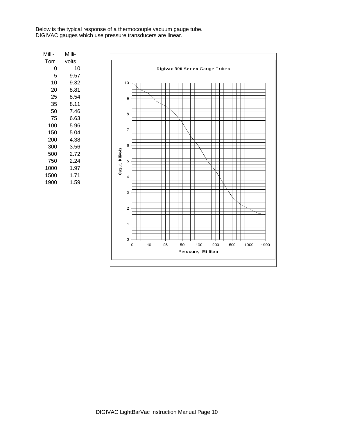Below is the typical response of a thermocouple vacuum gauge tube. DIGIVAC gauges which use pressure transducers are linear.

| Milli- | Milli- |
|--------|--------|
| Torr   | volts  |
| 0      | 10     |
| 5      | 9.57   |
| 10     | 9.32   |
| 20     | 8.81   |
| 25     | 8.54   |
| 35     | 8.11   |
| 50     | 7.46   |
| 75     | 6.63   |
| 100    | 5.96   |
| 150    | 5.04   |
| 200    | 4.38   |
| 300    | 3.56   |
| 500    | 2.72   |
| 750    | 2.24   |
| 1000   | 1.97   |
| 1500   | 1.71   |
| 1900   | 1.59   |
|        |        |